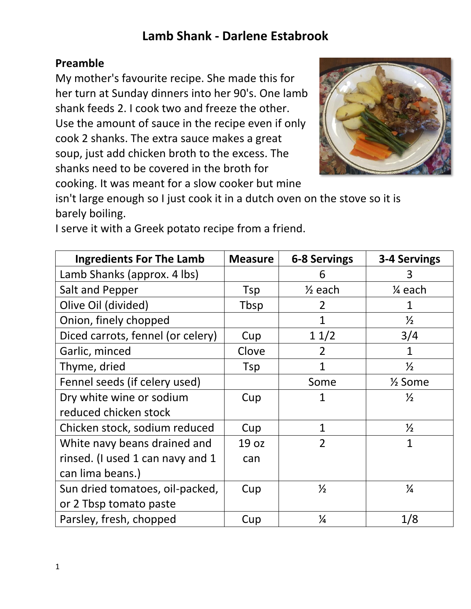# **Lamb Shank - Darlene Estabrook**

### **Preamble**

My mother's favourite recipe. She made this for her turn at Sunday dinners into her 90's. One lamb shank feeds 2. I cook two and freeze the other. Use the amount of sauce in the recipe even if only cook 2 shanks. The extra sauce makes a great soup, just add chicken broth to the excess. The shanks need to be covered in the broth for cooking. It was meant for a slow cooker but mine



isn't large enough so I just cook it in a dutch oven on the stove so it is barely boiling.

| <b>Ingredients For The Lamb</b>   | <b>Measure</b> | <b>6-8 Servings</b> | 3-4 Servings       |
|-----------------------------------|----------------|---------------------|--------------------|
| Lamb Shanks (approx. 4 lbs)       |                | 6                   | 3                  |
| Salt and Pepper                   | Tsp            | $\frac{1}{2}$ each  | 1⁄4 each           |
| Olive Oil (divided)               | Tbsp           | $\overline{2}$      | $\mathbf 1$        |
| Onion, finely chopped             |                | $\mathbf{1}$        | $\frac{1}{2}$      |
| Diced carrots, fennel (or celery) | Cup            | 11/2                | 3/4                |
| Garlic, minced                    | Clove          | $\overline{2}$      | $\mathbf{1}$       |
| Thyme, dried                      | Tsp            | $\mathbf{1}$        | $\frac{1}{2}$      |
| Fennel seeds (if celery used)     |                | Some                | $\frac{1}{2}$ Some |
| Dry white wine or sodium          | Cup            | 1                   | $\frac{1}{2}$      |
| reduced chicken stock             |                |                     |                    |
| Chicken stock, sodium reduced     | Cup            | 1                   | $\frac{1}{2}$      |
| White navy beans drained and      | 19 oz          | $\overline{2}$      | $\overline{1}$     |
| rinsed. (I used 1 can navy and 1  | can            |                     |                    |
| can lima beans.)                  |                |                     |                    |
| Sun dried tomatoes, oil-packed,   | Cup            | $\frac{1}{2}$       | $\frac{1}{4}$      |
| or 2 Tbsp tomato paste            |                |                     |                    |
| Parsley, fresh, chopped           | Cup            | $\frac{1}{4}$       | 1/8                |

I serve it with a Greek potato recipe from a friend.